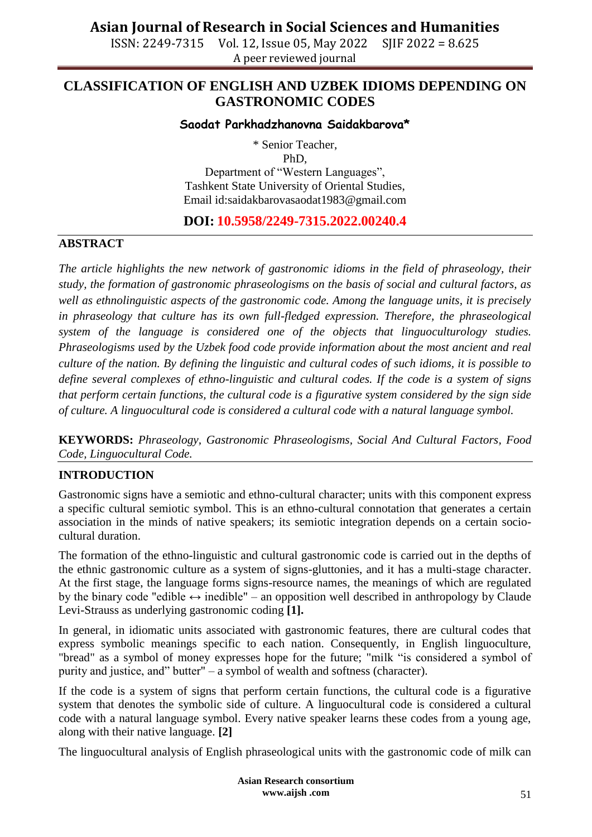ISSN: 2249-7315 Vol. 12, Issue 05, May 2022 SJIF 2022 = 8.625 A peer reviewed journal

### **CLASSIFICATION OF ENGLISH AND UZBEK IDIOMS DEPENDING ON GASTRONOMIC CODES**

#### **Saodat Parkhadzhanovna Saidakbarova\***

\* Senior Teacher,

PhD,

Department of "Western Languages", Tashkent State University of Oriental Studies, Email id:saidakbarovasaodat1983@gmail.com

#### **DOI: 10.5958/2249-7315.2022.00240.4**

#### **ABSTRACT**

*The article highlights the new network of gastronomic idioms in the field of phraseology, their study, the formation of gastronomic phraseologisms on the basis of social and cultural factors, as well as ethnolinguistic aspects of the gastronomic code. Among the language units, it is precisely in phraseology that culture has its own full-fledged expression. Therefore, the phraseological system of the language is considered one of the objects that linguoculturology studies. Phraseologisms used by the Uzbek food code provide information about the most ancient and real culture of the nation. By defining the linguistic and cultural codes of such idioms, it is possible to define several complexes of ethno-linguistic and cultural codes. If the code is a system of signs that perform certain functions, the cultural code is a figurative system considered by the sign side of culture. A linguocultural code is considered a cultural code with a natural language symbol.*

**KEYWORDS:** *Phraseology, Gastronomic Phraseologisms, Social And Cultural Factors, Food Code, Linguocultural Code.*

#### **INTRODUCTION**

Gastronomic signs have a semiotic and ethno-cultural character; units with this component express a specific cultural semiotic symbol. This is an ethno-cultural connotation that generates a certain association in the minds of native speakers; its semiotic integration depends on a certain sociocultural duration.

The formation of the ethno-linguistic and cultural gastronomic code is carried out in the depths of the ethnic gastronomic culture as a system of signs-gluttonies, and it has a multi-stage character. At the first stage, the language forms signs-resource names, the meanings of which are regulated by the binary code "edible  $\leftrightarrow$  inedible" – an opposition well described in anthropology by Claude Levi-Strauss as underlying gastronomic coding **[1].**

In general, in idiomatic units associated with gastronomic features, there are cultural codes that express symbolic meanings specific to each nation. Consequently, in English linguoculture, "bread" as a symbol of money expresses hope for the future; "milk "is considered a symbol of purity and justice, and" butter" – a symbol of wealth and softness (character).

If the code is a system of signs that perform certain functions, the cultural code is a figurative system that denotes the symbolic side of culture. A linguocultural code is considered a cultural code with a natural language symbol. Every native speaker learns these codes from a young age, along with their native language. **[2]**

The linguocultural analysis of English phraseological units with the gastronomic code of milk can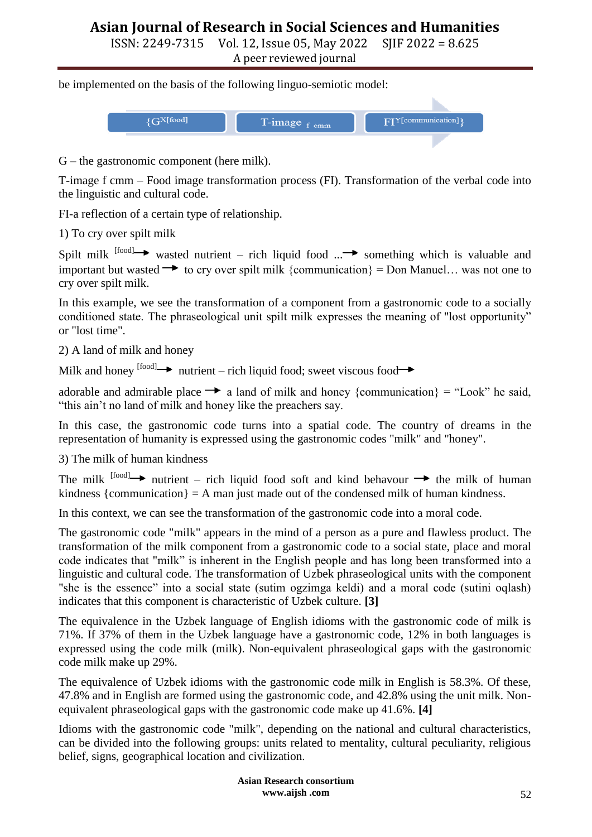ISSN: 2249-7315 Vol. 12, Issue 05, May 2022 SJIF 2022 = 8.625

A peer reviewed journal

be implemented on the basis of the following linguo-semiotic model:



G – the gastronomic component (here milk).

T-image f cmm – Food image transformation process (FI). Transformation of the verbal code into the linguistic and cultural code.

FI-a reflection of a certain type of relationship.

1) To cry over spilt milk

Spilt milk  $[food] \rightarrow$  wasted nutrient – rich liquid food ... something which is valuable and important but wasted  $\rightarrow$  to cry over spilt milk {communication} = Don Manuel... was not one to cry over spilt milk.

In this example, we see the transformation of a component from a gastronomic code to a socially conditioned state. The phraseological unit spilt milk expresses the meaning of "lost opportunity" or "lost time".

2) A land of milk and honey

Milk and honey  $\left[\begin{array}{cc} \text{food} \rightarrow \text{r}\end{array}\right]$  nutrient – rich liquid food; sweet viscous food

adorable and admirable place  $\rightarrow$  a land of milk and honey {communication} = "Look" he said, "this ain't no land of milk and honey like the preachers say.

In this case, the gastronomic code turns into a spatial code. The country of dreams in the representation of humanity is expressed using the gastronomic codes "milk" and "honey".

3) The milk of human kindness

The milk  $[food] \rightarrow$  nutrient – rich liquid food soft and kind behavour  $\rightarrow$  the milk of human kindness  ${\rm [communication]} = A$  man just made out of the condensed milk of human kindness.

In this context, we can see the transformation of the gastronomic code into a moral code.

The gastronomic code "milk" appears in the mind of a person as a pure and flawless product. The transformation of the milk component from a gastronomic code to a social state, place and moral code indicates that "milk" is inherent in the English people and has long been transformed into a linguistic and cultural code. The transformation of Uzbek phraseological units with the component "she is the essence" into a social state (sutim ogzimga keldi) and a moral code (sutini oqlash) indicates that this component is characteristic of Uzbek culture. **[3]**

The equivalence in the Uzbek language of English idioms with the gastronomic code of milk is 71%. If 37% of them in the Uzbek language have a gastronomic code, 12% in both languages is expressed using the code milk (milk). Non-equivalent phraseological gaps with the gastronomic code milk make up 29%.

The equivalence of Uzbek idioms with the gastronomic code milk in English is 58.3%. Of these, 47.8% and in English are formed using the gastronomic code, and 42.8% using the unit milk. Nonequivalent phraseological gaps with the gastronomic code make up 41.6%. **[4]**

Idioms with the gastronomic code "milk", depending on the national and cultural characteristics, can be divided into the following groups: units related to mentality, cultural peculiarity, religious belief, signs, geographical location and civilization.

> **Asian Research consortium www.aijsh .com**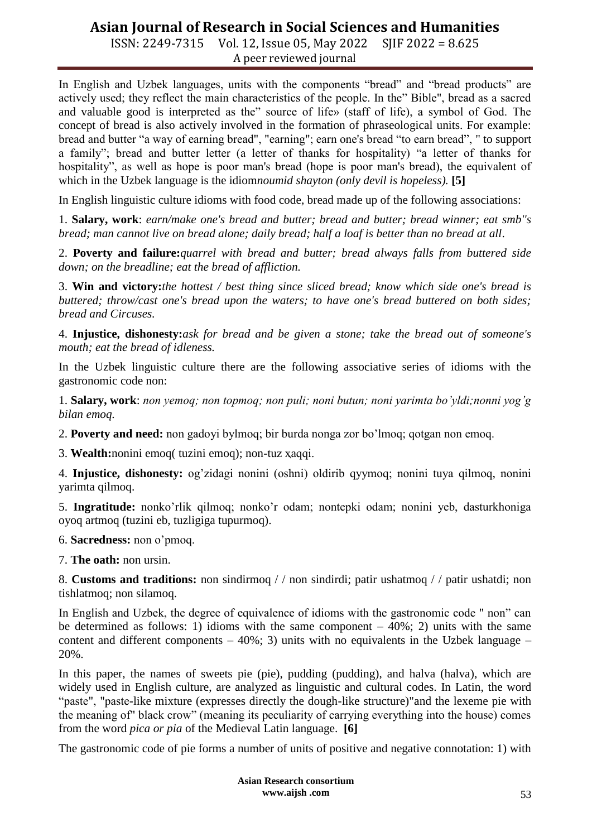ISSN: 2249-7315 Vol. 12, Issue 05, May 2022 SJIF 2022 = 8.625 A peer reviewed journal

In English and Uzbek languages, units with the components "bread" and "bread products" are actively used; they reflect the main characteristics of the people. In the" Bible", bread as a sacred and valuable good is interpreted as the" source of life» (staff of life), a symbol of God. The concept of bread is also actively involved in the formation of phraseological units. For example: bread and butter "a way of earning bread", "earning"; earn one's bread "to earn bread", " to support a family"; bread and butter letter (a letter of thanks for hospitality) "a letter of thanks for hospitality", as well as hope is poor man's bread (hope is poor man's bread), the equivalent of which in the Uzbek language is the idiom*noumid shayton (only devil is hopeless).* **[5]**

In English linguistic culture idioms with food code, bread made up of the following associations:

1. **Salary, work**: *earn/make one's bread and butter; bread and butter; bread winner; eat smb''s bread; man cannot live on bread alone; daily bread; half a loaf is better than no bread at all*.

2. **Poverty and failure:***quarrel with bread and butter; bread always falls from buttered side down; on the breadline; eat the bread of affliction.*

3. **Win and victory:***the hottest / best thing since sliced bread; know which side one's bread is buttered; throw/cast one's bread upon the waters; to have one's bread buttered on both sides; bread and Circuses.*

4. **Injustice, dishonesty:***ask for bread and be given a stone; take the bread out of someone's mouth; eat the bread of idleness.*

In the Uzbek linguistic culture there are the following associative series of idioms with the gastronomic code non:

1. **Salary, work**: *non yemoq; non topmoq; non puli; noni butun; noni yarimta bo'yldi;nonni yog'g bilan emoq.*

2. **Poverty and need:** non gadoyi bylmoq; bir burda nonga zor bo'lmoq; qotgan non emoq.

3. **Wealth:**nonini emoq( tuzini emoq); non-tuz ҳaqqi.

4. **Injustice, dishonesty:** og'zidagi nonini (oshni) oldirib qyymoq; nonini tuya qilmoq, nonini yarimta qilmoq.

5. **Ingratitude:** nonko'rlik qilmoq; nonko'r odam; nontepki odam; nonini yeb, dasturkhoniga oyoq artmoq (tuzini eb, tuzligiga tupurmoq).

6. **Sacredness:** non o'pmoq.

7. **The oath:** non ursin.

8. **Customs and traditions:** non sindirmoq / / non sindirdi; patir ushatmoq / / patir ushatdi; non tishlatmoq; non silamoq.

In English and Uzbek, the degree of equivalence of idioms with the gastronomic code " non" can be determined as follows: 1) idioms with the same component  $-40\%$ ; 2) units with the same content and different components  $-40\%$ ; 3) units with no equivalents in the Uzbek language – 20%.

In this paper, the names of sweets pie (pie), pudding (pudding), and halva (halva), which are widely used in English culture, are analyzed as linguistic and cultural codes. In Latin, the word "paste", "paste-like mixture (expresses directly the dough-like structure)"and the lexeme pie with the meaning of" black crow" (meaning its peculiarity of carrying everything into the house) comes from the word *pica or pia* of the Medieval Latin language. **[6]**

The gastronomic code of pie forms a number of units of positive and negative connotation: 1) with

**Asian Research consortium www.aijsh .com**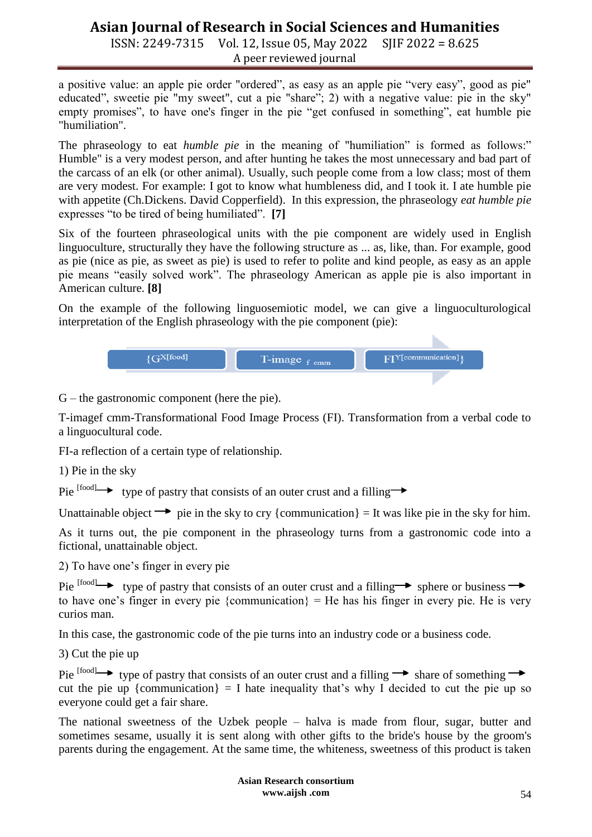ISSN: 2249-7315 Vol. 12, Issue 05, May 2022 SJIF 2022 = 8.625 A peer reviewed journal

a positive value: an apple pie order "ordered", as easy as an apple pie "very easy", good as pie" educated", sweetie pie "my sweet", cut a pie "share"; 2) with a negative value: pie in the sky" empty promises", to have one's finger in the pie "get confused in something", eat humble pie "humiliation".

The phraseology to eat *humble pie* in the meaning of "humiliation" is formed as follows:" Humble" is a very modest person, and after hunting he takes the most unnecessary and bad part of the carcass of an elk (or other animal). Usually, such people come from a low class; most of them are very modest. For example: I got to know what humbleness did, and I took it. I ate humble pie with appetite (Ch.Dickens. David Copperfield). In this expression, the phraseology *eat humble pie*  expresses "to be tired of being humiliated". **[7]**

Six of the fourteen phraseological units with the pie component are widely used in English linguoculture, structurally they have the following structure as ... as, like, than. For example, good as pie (nice as pie, as sweet as pie) is used to refer to polite and kind people, as easy as an apple pie means "easily solved work". The phraseology American as apple pie is also important in American culture. **[8]**

On the example of the following linguosemiotic model, we can give a linguoculturological interpretation of the English phraseology with the pie component (pie):

| $\rm \{G^{X[food]}\}$ | T-image $_f$ cmm | FIY[communication] |
|-----------------------|------------------|--------------------|
|                       |                  |                    |

b.

G – the gastronomic component (here the pie).

T-imagef cmm-Transformational Food Image Process (FI). Transformation from a verbal code to a linguocultural code.

FI-a reflection of a certain type of relationship.

1) Pie in the sky

Pie  $[food] \rightarrow type of$  pastry that consists of an outer crust and a filling  $\rightarrow$ 

Unattainable object  $\rightarrow$  pie in the sky to cry {communication} = It was like pie in the sky for him.

As it turns out, the pie component in the phraseology turns from a gastronomic code into a fictional, unattainable object.

2) To have one's finger in every pie

Pie  $[food] \rightarrow type of$  pastry that consists of an outer crust and a filling  $\rightarrow$  sphere or business  $\rightarrow$ to have one's finger in every pie {communication} = He has his finger in every pie. He is very curios man.

In this case, the gastronomic code of the pie turns into an industry code or a business code.

3) Cut the pie up

Pie  $\left[\text{food}\right] \rightarrow$  type of pastry that consists of an outer crust and a filling  $\rightarrow$  share of something  $\rightarrow$ cut the pie up {communication} = I hate inequality that's why I decided to cut the pie up so everyone could get a fair share.

The national sweetness of the Uzbek people – halva is made from flour, sugar, butter and sometimes sesame, usually it is sent along with other gifts to the bride's house by the groom's parents during the engagement. At the same time, the whiteness, sweetness of this product is taken

> **Asian Research consortium www.aijsh .com**